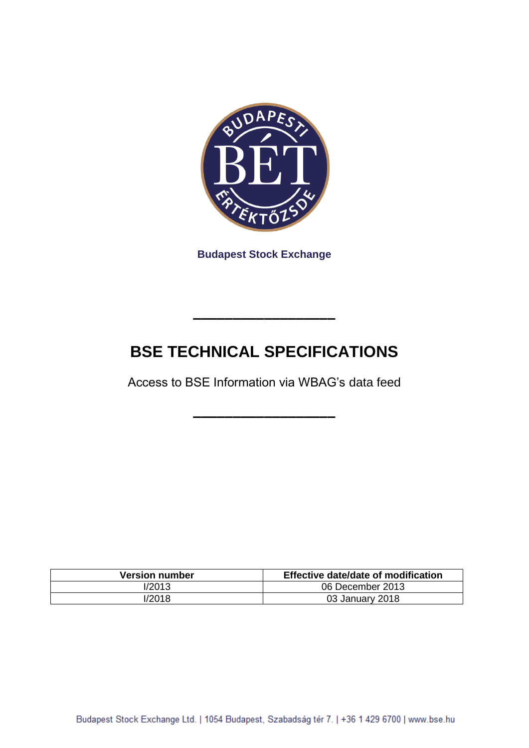

**Budapest Stock Exchange**

## **BSE TECHNICAL SPECIFICATIONS**

**––––––––––––––––––**

Access to BSE Information via WBAG's data feed

**––––––––––––––––––**

| <b>Version number</b> | Effective date/date of modification |
|-----------------------|-------------------------------------|
| l/2013                | 06 December 2013                    |
| l/2018                | 03 January 2018                     |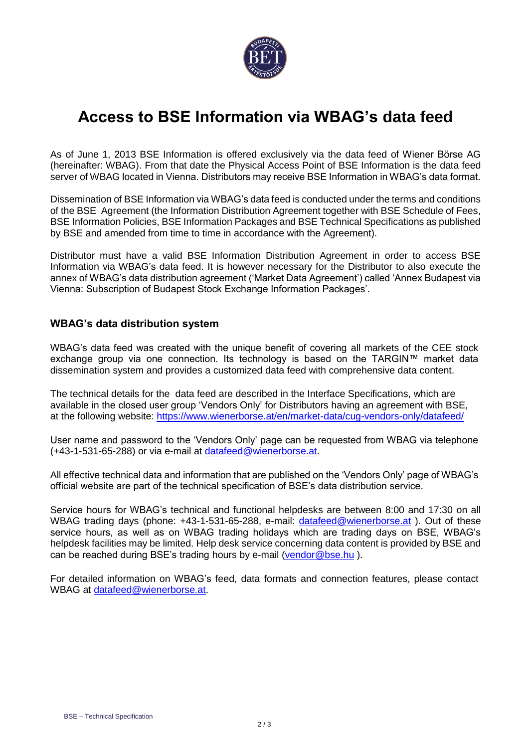

## **Access to BSE Information via WBAG's data feed**

As of June 1, 2013 BSE Information is offered exclusively via the data feed of Wiener Börse AG (hereinafter: WBAG). From that date the Physical Access Point of BSE Information is the data feed server of WBAG located in Vienna. Distributors may receive BSE Information in WBAG's data format.

Dissemination of BSE Information via WBAG's data feed is conducted under the terms and conditions of the BSE Agreement (the Information Distribution Agreement together with BSE Schedule of Fees, BSE Information Policies, BSE Information Packages and BSE Technical Specifications as published by BSE and amended from time to time in accordance with the Agreement).

Distributor must have a valid BSE Information Distribution Agreement in order to access BSE Information via WBAG's data feed. It is however necessary for the Distributor to also execute the annex of WBAG's data distribution agreement ('Market Data Agreement') called 'Annex Budapest via Vienna: Subscription of Budapest Stock Exchange Information Packages'.

## **WBAG's data distribution system**

WBAG's data feed was created with the unique benefit of covering all markets of the CEE stock exchange group via one connection. Its technology is based on the TARGIN™ market data dissemination system and provides a customized data feed with comprehensive data content.

The technical details for the data feed are described in the Interface Specifications, which are available in the closed user group 'Vendors Only' for Distributors having an agreement with BSE, at the following website:<https://www.wienerborse.at/en/market-data/cug-vendors-only/datafeed/>

User name and password to the 'Vendors Only' page can be requested from WBAG via telephone (+43-1-531-65-288) or via e-mail at [datafeed@wienerborse.at.](mailto:datafeed@wienerborse.at)

All effective technical data and information that are published on the 'Vendors Only' page of WBAG's official website are part of the technical specification of BSE's data distribution service.

Service hours for WBAG's technical and functional helpdesks are between 8:00 and 17:30 on all WBAG trading days (phone: +43-1-531-65-288, e-mail: [datafeed@wienerborse.at](mailto:datafeed@wienerborse.at)). Out of these service hours, as well as on WBAG trading holidays which are trading days on BSE, WBAG's helpdesk facilities may be limited. Help desk service concerning data content is provided by BSE and can be reached during BSE's trading hours by e-mail [\(vendor@bse.hu](mailto:vendor@bse.hu)).

For detailed information on WBAG's feed, data formats and connection features, please contact WBAG at [datafeed@wienerborse.at.](mailto:datafeed@wienerborse.at)